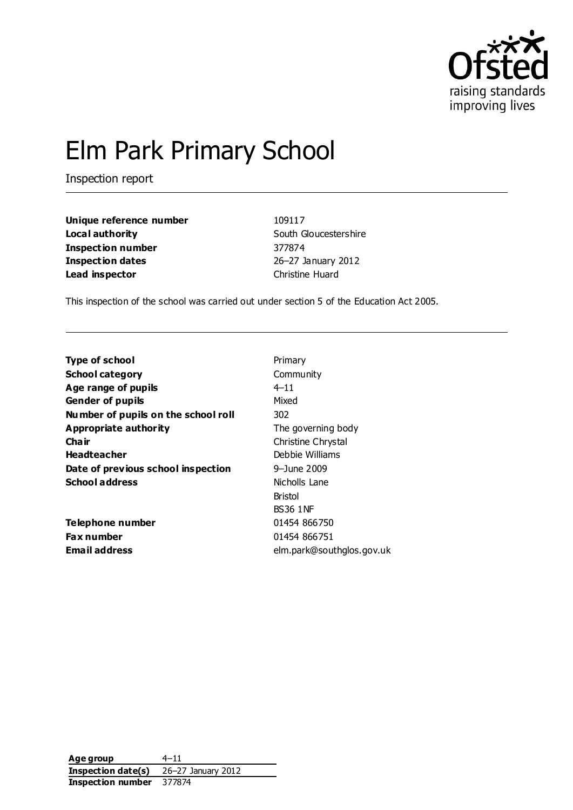

# Elm Park Primary School

Inspection report

**Unique reference number** 109117 **Local authority** South Gloucestershire **Inspection number** 377874 **Inspection dates** 26–27 January 2012 **Lead inspector** Christine Huard

This inspection of the school was carried out under section 5 of the Education Act 2005.

| <b>Type of school</b>               | Primary                   |
|-------------------------------------|---------------------------|
| <b>School category</b>              | Community                 |
| Age range of pupils                 | $4 - 11$                  |
| <b>Gender of pupils</b>             | Mixed                     |
| Number of pupils on the school roll | 302                       |
| Appropriate authority               | The governing body        |
| Cha ir                              | Christine Chrystal        |
| <b>Headteacher</b>                  | Debbie Williams           |
| Date of previous school inspection  | 9–June 2009               |
| <b>School address</b>               | Nicholls Lane             |
|                                     | <b>Bristol</b>            |
|                                     | <b>BS36 1NF</b>           |
| Telephone number                    | 01454 866750              |
| Fax number                          | 01454 866751              |
| <b>Email address</b>                | elm.park@southglos.gov.uk |
|                                     |                           |

**Age group** 4–11 **Inspection date(s)** 26–27 January 2012 **Inspection number** 377874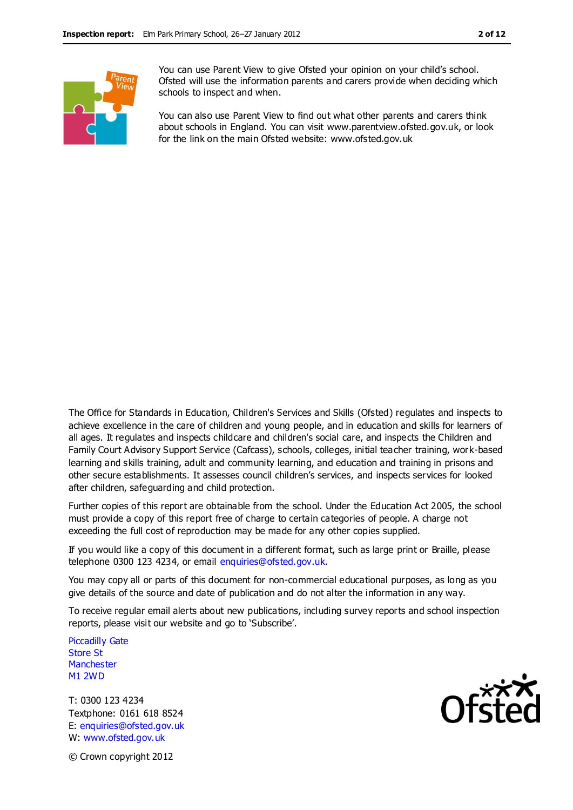

You can use Parent View to give Ofsted your opinion on your child's school. Ofsted will use the information parents and carers provide when deciding which schools to inspect and when.

You can also use Parent View to find out what other parents and carers think about schools in England. You can visit www.parentview.ofsted.gov.uk, or look for the link on the main Ofsted website: www.ofsted.gov.uk

The Office for Standards in Education, Children's Services and Skills (Ofsted) regulates and inspects to achieve excellence in the care of children and young people, and in education and skills for learners of all ages. It regulates and inspects childcare and children's social care, and inspects the Children and Family Court Advisory Support Service (Cafcass), schools, colleges, initial teacher training, work-based learning and skills training, adult and community learning, and education and training in prisons and other secure establishments. It assesses council children's services, and inspects services for looked after children, safeguarding and child protection.

Further copies of this report are obtainable from the school. Under the Education Act 2005, the school must provide a copy of this report free of charge to certain categories of people. A charge not exceeding the full cost of reproduction may be made for any other copies supplied.

If you would like a copy of this document in a different format, such as large print or Braille, please telephone 0300 123 4234, or email enquiries@ofsted.gov.uk.

You may copy all or parts of this document for non-commercial educational purposes, as long as you give details of the source and date of publication and do not alter the information in any way.

To receive regular email alerts about new publications, including survey reports and school inspection reports, please visit our website and go to 'Subscribe'.

Piccadilly Gate Store St **Manchester** M1 2WD

T: 0300 123 4234 Textphone: 0161 618 8524 E: enquiries@ofsted.gov.uk W: www.ofsted.gov.uk



© Crown copyright 2012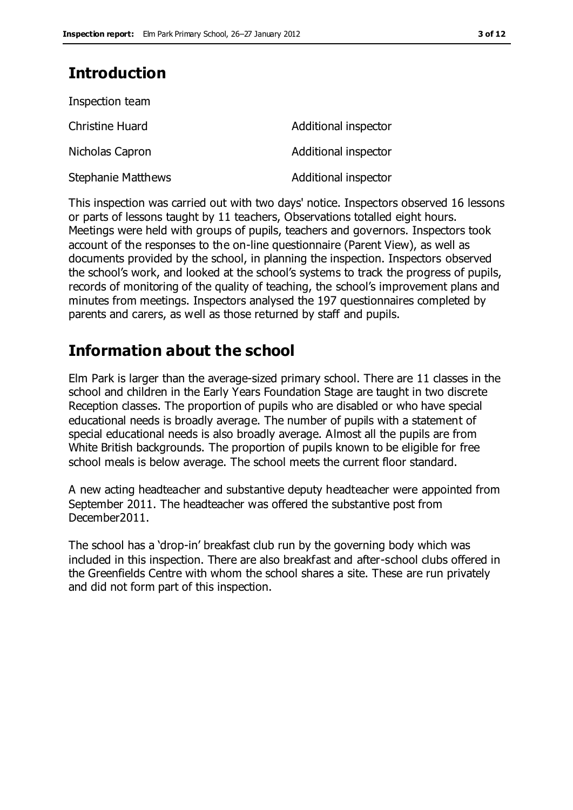### **Introduction**

| Inspection team           |                      |
|---------------------------|----------------------|
| <b>Christine Huard</b>    | Additional inspector |
| Nicholas Capron           | Additional inspector |
| <b>Stephanie Matthews</b> | Additional inspector |

This inspection was carried out with two days' notice. Inspectors observed 16 lessons or parts of lessons taught by 11 teachers, Observations totalled eight hours. Meetings were held with groups of pupils, teachers and governors. Inspectors took account of the responses to the on-line questionnaire (Parent View), as well as documents provided by the school, in planning the inspection. Inspectors observed the school's work, and looked at the school's systems to track the progress of pupils, records of monitoring of the quality of teaching, the school's improvement plans and minutes from meetings. Inspectors analysed the 197 questionnaires completed by parents and carers, as well as those returned by staff and pupils.

### **Information about the school**

Elm Park is larger than the average-sized primary school. There are 11 classes in the school and children in the Early Years Foundation Stage are taught in two discrete Reception classes. The proportion of pupils who are disabled or who have special educational needs is broadly average. The number of pupils with a statement of special educational needs is also broadly average. Almost all the pupils are from White British backgrounds. The proportion of pupils known to be eligible for free school meals is below average. The school meets the current floor standard.

A new acting headteacher and substantive deputy headteacher were appointed from September 2011. The headteacher was offered the substantive post from December2011.

The school has a 'drop-in' breakfast club run by the governing body which was included in this inspection. There are also breakfast and after-school clubs offered in the Greenfields Centre with whom the school shares a site. These are run privately and did not form part of this inspection.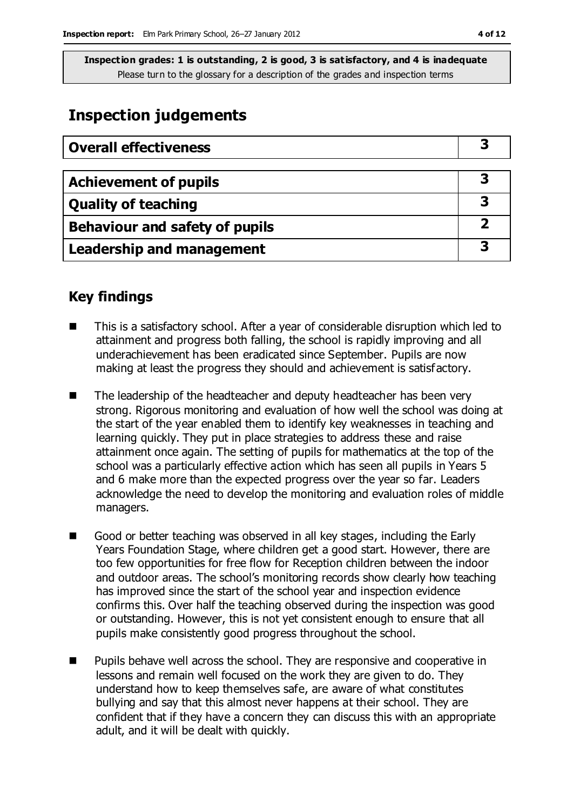### **Inspection judgements**

| <b>Overall effectiveness</b>     |  |
|----------------------------------|--|
|                                  |  |
| <b>Achievement of pupils</b>     |  |
| <b>Quality of teaching</b>       |  |
| Behaviour and safety of pupils   |  |
| <b>Leadership and management</b> |  |

### **Key findings**

- This is a satisfactory school. After a year of considerable disruption which led to attainment and progress both falling, the school is rapidly improving and all underachievement has been eradicated since September. Pupils are now making at least the progress they should and achievement is satisfactory.
- The leadership of the headteacher and deputy headteacher has been very strong. Rigorous monitoring and evaluation of how well the school was doing at the start of the year enabled them to identify key weaknesses in teaching and learning quickly. They put in place strategies to address these and raise attainment once again. The setting of pupils for mathematics at the top of the school was a particularly effective action which has seen all pupils in Years 5 and 6 make more than the expected progress over the year so far. Leaders acknowledge the need to develop the monitoring and evaluation roles of middle managers.
- Good or better teaching was observed in all key stages, including the Early Years Foundation Stage, where children get a good start. However, there are too few opportunities for free flow for Reception children between the indoor and outdoor areas. The school's monitoring records show clearly how teaching has improved since the start of the school year and inspection evidence confirms this. Over half the teaching observed during the inspection was good or outstanding. However, this is not yet consistent enough to ensure that all pupils make consistently good progress throughout the school.
- Pupils behave well across the school. They are responsive and cooperative in lessons and remain well focused on the work they are given to do. They understand how to keep themselves safe, are aware of what constitutes bullying and say that this almost never happens at their school. They are confident that if they have a concern they can discuss this with an appropriate adult, and it will be dealt with quickly.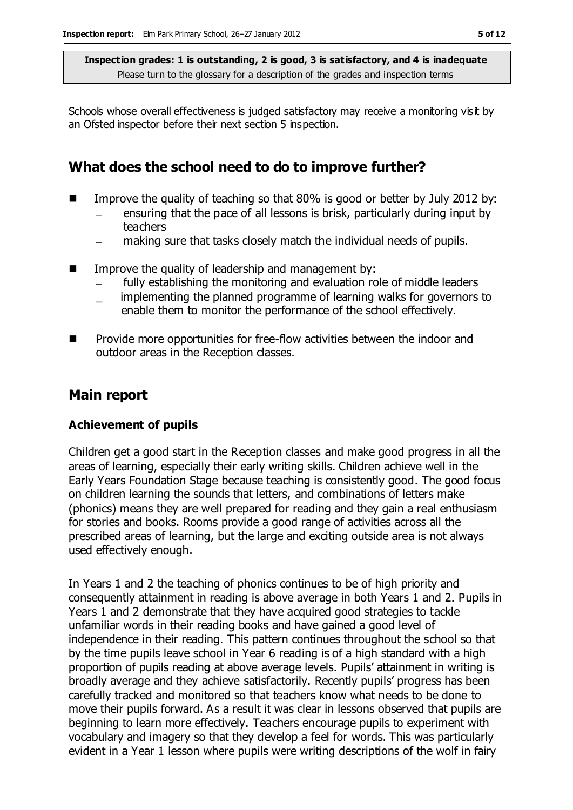Schools whose overall effectiveness is judged satisfactory may receive a monitoring visit by an Ofsted inspector before their next section 5 inspection.

### **What does the school need to do to improve further?**

- Improve the quality of teaching so that  $80\%$  is good or better by July 2012 by:
	- ensuring that the pace of all lessons is brisk, particularly during input by teachers
	- making sure that tasks closely match the individual needs of pupils.  $\equiv$
- **IMPROVE THE QUALITY OF LEADER SHOW THE MANGEMENT CONCRETE INC.** 
	- fully establishing the monitoring and evaluation role of middle leaders
	- implementing the planned programme of learning walks for governors to enable them to monitor the performance of the school effectively.
- **Provide more opportunities for free-flow activities between the indoor and Provide** outdoor areas in the Reception classes.

### **Main report**

### **Achievement of pupils**

Children get a good start in the Reception classes and make good progress in all the areas of learning, especially their early writing skills. Children achieve well in the Early Years Foundation Stage because teaching is consistently good. The good focus on children learning the sounds that letters, and combinations of letters make (phonics) means they are well prepared for reading and they gain a real enthusiasm for stories and books. Rooms provide a good range of activities across all the prescribed areas of learning, but the large and exciting outside area is not always used effectively enough.

In Years 1 and 2 the teaching of phonics continues to be of high priority and consequently attainment in reading is above average in both Years 1 and 2. Pupils in Years 1 and 2 demonstrate that they have acquired good strategies to tackle unfamiliar words in their reading books and have gained a good level of independence in their reading. This pattern continues throughout the school so that by the time pupils leave school in Year 6 reading is of a high standard with a high proportion of pupils reading at above average levels. Pupils' attainment in writing is broadly average and they achieve satisfactorily. Recently pupils' progress has been carefully tracked and monitored so that teachers know what needs to be done to move their pupils forward. As a result it was clear in lessons observed that pupils are beginning to learn more effectively. Teachers encourage pupils to experiment with vocabulary and imagery so that they develop a feel for words. This was particularly evident in a Year 1 lesson where pupils were writing descriptions of the wolf in fairy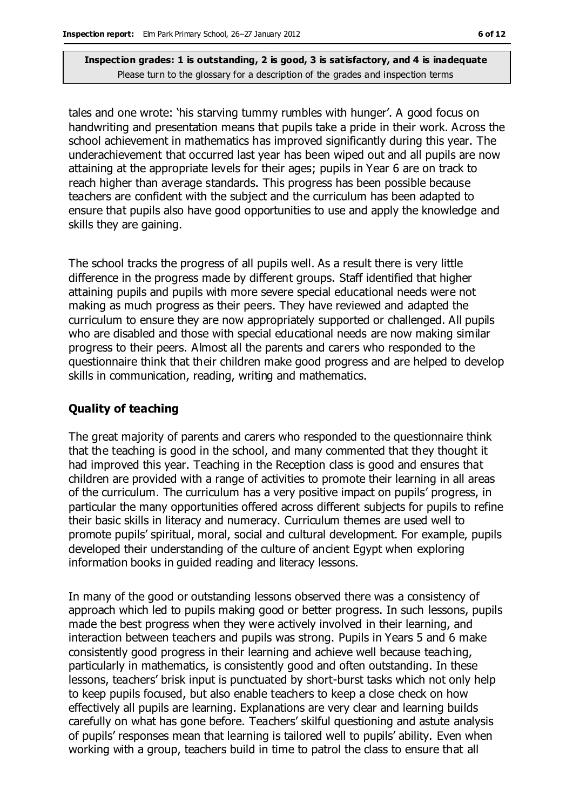tales and one wrote: 'his starving tummy rumbles with hunger'. A good focus on handwriting and presentation means that pupils take a pride in their work. Across the school achievement in mathematics has improved significantly during this year. The underachievement that occurred last year has been wiped out and all pupils are now attaining at the appropriate levels for their ages; pupils in Year 6 are on track to reach higher than average standards. This progress has been possible because teachers are confident with the subject and the curriculum has been adapted to ensure that pupils also have good opportunities to use and apply the knowledge and skills they are gaining.

The school tracks the progress of all pupils well. As a result there is very little difference in the progress made by different groups. Staff identified that higher attaining pupils and pupils with more severe special educational needs were not making as much progress as their peers. They have reviewed and adapted the curriculum to ensure they are now appropriately supported or challenged. All pupils who are disabled and those with special educational needs are now making similar progress to their peers. Almost all the parents and carers who responded to the questionnaire think that their children make good progress and are helped to develop skills in communication, reading, writing and mathematics.

### **Quality of teaching**

The great majority of parents and carers who responded to the questionnaire think that the teaching is good in the school, and many commented that they thought it had improved this year. Teaching in the Reception class is good and ensures that children are provided with a range of activities to promote their learning in all areas of the curriculum. The curriculum has a very positive impact on pupils' progress, in particular the many opportunities offered across different subjects for pupils to refine their basic skills in literacy and numeracy. Curriculum themes are used well to promote pupils' spiritual, moral, social and cultural development. For example, pupils developed their understanding of the culture of ancient Egypt when exploring information books in guided reading and literacy lessons.

In many of the good or outstanding lessons observed there was a consistency of approach which led to pupils making good or better progress. In such lessons, pupils made the best progress when they were actively involved in their learning, and interaction between teachers and pupils was strong. Pupils in Years 5 and 6 make consistently good progress in their learning and achieve well because teaching, particularly in mathematics, is consistently good and often outstanding. In these lessons, teachers' brisk input is punctuated by short-burst tasks which not only help to keep pupils focused, but also enable teachers to keep a close check on how effectively all pupils are learning. Explanations are very clear and learning builds carefully on what has gone before. Teachers' skilful questioning and astute analysis of pupils' responses mean that learning is tailored well to pupils' ability. Even when working with a group, teachers build in time to patrol the class to ensure that all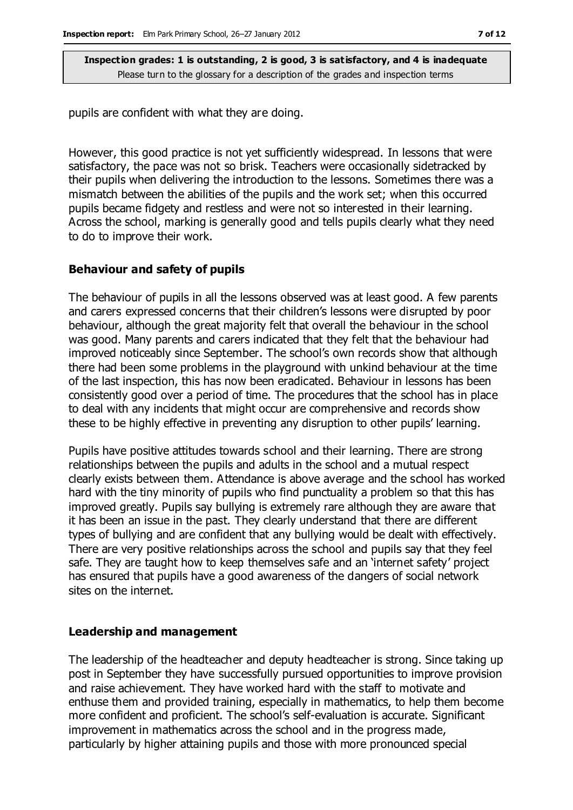pupils are confident with what they are doing.

However, this good practice is not yet sufficiently widespread. In lessons that were satisfactory, the pace was not so brisk. Teachers were occasionally sidetracked by their pupils when delivering the introduction to the lessons. Sometimes there was a mismatch between the abilities of the pupils and the work set; when this occurred pupils became fidgety and restless and were not so interested in their learning. Across the school, marking is generally good and tells pupils clearly what they need to do to improve their work.

#### **Behaviour and safety of pupils**

The behaviour of pupils in all the lessons observed was at least good. A few parents and carers expressed concerns that their children's lessons were disrupted by poor behaviour, although the great majority felt that overall the behaviour in the school was good. Many parents and carers indicated that they felt that the behaviour had improved noticeably since September. The school's own records show that although there had been some problems in the playground with unkind behaviour at the time of the last inspection, this has now been eradicated. Behaviour in lessons has been consistently good over a period of time. The procedures that the school has in place to deal with any incidents that might occur are comprehensive and records show these to be highly effective in preventing any disruption to other pupils' learning.

Pupils have positive attitudes towards school and their learning. There are strong relationships between the pupils and adults in the school and a mutual respect clearly exists between them. Attendance is above average and the school has worked hard with the tiny minority of pupils who find punctuality a problem so that this has improved greatly. Pupils say bullying is extremely rare although they are aware that it has been an issue in the past. They clearly understand that there are different types of bullying and are confident that any bullying would be dealt with effectively. There are very positive relationships across the school and pupils say that they feel safe. They are taught how to keep themselves safe and an 'internet safety' project has ensured that pupils have a good awareness of the dangers of social network sites on the internet.

#### **Leadership and management**

The leadership of the headteacher and deputy headteacher is strong. Since taking up post in September they have successfully pursued opportunities to improve provision and raise achievement. They have worked hard with the staff to motivate and enthuse them and provided training, especially in mathematics, to help them become more confident and proficient. The school's self-evaluation is accurate. Significant improvement in mathematics across the school and in the progress made, particularly by higher attaining pupils and those with more pronounced special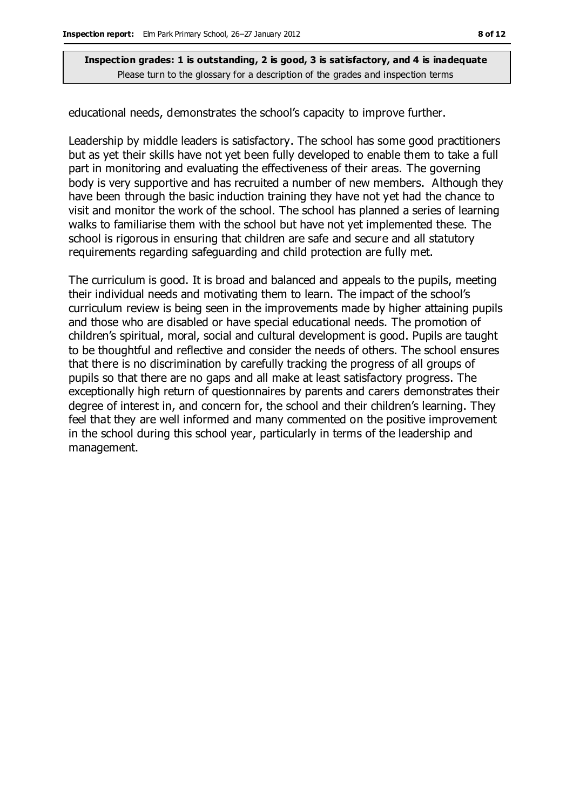educational needs, demonstrates the school's capacity to improve further.

Leadership by middle leaders is satisfactory. The school has some good practitioners but as yet their skills have not yet been fully developed to enable them to take a full part in monitoring and evaluating the effectiveness of their areas. The governing body is very supportive and has recruited a number of new members. Although they have been through the basic induction training they have not yet had the chance to visit and monitor the work of the school. The school has planned a series of learning walks to familiarise them with the school but have not yet implemented these. The school is rigorous in ensuring that children are safe and secure and all statutory requirements regarding safeguarding and child protection are fully met.

The curriculum is good. It is broad and balanced and appeals to the pupils, meeting their individual needs and motivating them to learn. The impact of the school's curriculum review is being seen in the improvements made by higher attaining pupils and those who are disabled or have special educational needs. The promotion of children's spiritual, moral, social and cultural development is good. Pupils are taught to be thoughtful and reflective and consider the needs of others. The school ensures that there is no discrimination by carefully tracking the progress of all groups of pupils so that there are no gaps and all make at least satisfactory progress. The exceptionally high return of questionnaires by parents and carers demonstrates their degree of interest in, and concern for, the school and their children's learning. They feel that they are well informed and many commented on the positive improvement in the school during this school year, particularly in terms of the leadership and management.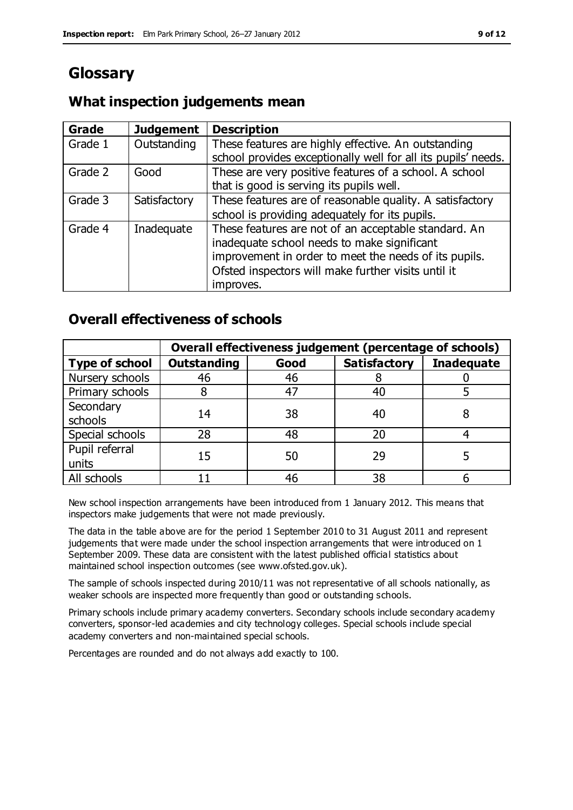## **Glossary**

### **What inspection judgements mean**

| Grade   | <b>Judgement</b> | <b>Description</b>                                            |
|---------|------------------|---------------------------------------------------------------|
| Grade 1 | Outstanding      | These features are highly effective. An outstanding           |
|         |                  | school provides exceptionally well for all its pupils' needs. |
| Grade 2 | Good             | These are very positive features of a school. A school        |
|         |                  | that is good is serving its pupils well.                      |
| Grade 3 | Satisfactory     | These features are of reasonable quality. A satisfactory      |
|         |                  | school is providing adequately for its pupils.                |
| Grade 4 | Inadequate       | These features are not of an acceptable standard. An          |
|         |                  | inadequate school needs to make significant                   |
|         |                  | improvement in order to meet the needs of its pupils.         |
|         |                  | Ofsted inspectors will make further visits until it           |
|         |                  | improves.                                                     |

### **Overall effectiveness of schools**

|                         | Overall effectiveness judgement (percentage of schools) |      |                     |                   |
|-------------------------|---------------------------------------------------------|------|---------------------|-------------------|
| <b>Type of school</b>   | <b>Outstanding</b>                                      | Good | <b>Satisfactory</b> | <b>Inadequate</b> |
| Nursery schools         | 46                                                      | 46   |                     |                   |
| Primary schools         |                                                         | 47   | 40                  |                   |
| Secondary<br>schools    | 14                                                      | 38   | 40                  |                   |
| Special schools         | 28                                                      | 48   | 20                  |                   |
| Pupil referral<br>units | 15                                                      | 50   | 29                  |                   |
| All schools             |                                                         | 46   | 38                  |                   |

New school inspection arrangements have been introduced from 1 January 2012. This means that inspectors make judgements that were not made previously.

The data in the table above are for the period 1 September 2010 to 31 August 2011 and represent judgements that were made under the school inspection arrangements that were introduced on 1 September 2009. These data are consistent with the latest published official statistics about maintained school inspection outcomes (see www.ofsted.gov.uk).

The sample of schools inspected during 2010/11 was not representative of all schools nationally, as weaker schools are inspected more frequently than good or outstanding schools.

Primary schools include primary academy converters. Secondary schools include secondary academy converters, sponsor-led academies and city technology colleges. Special schools include special academy converters and non-maintained special schools.

Percentages are rounded and do not always add exactly to 100.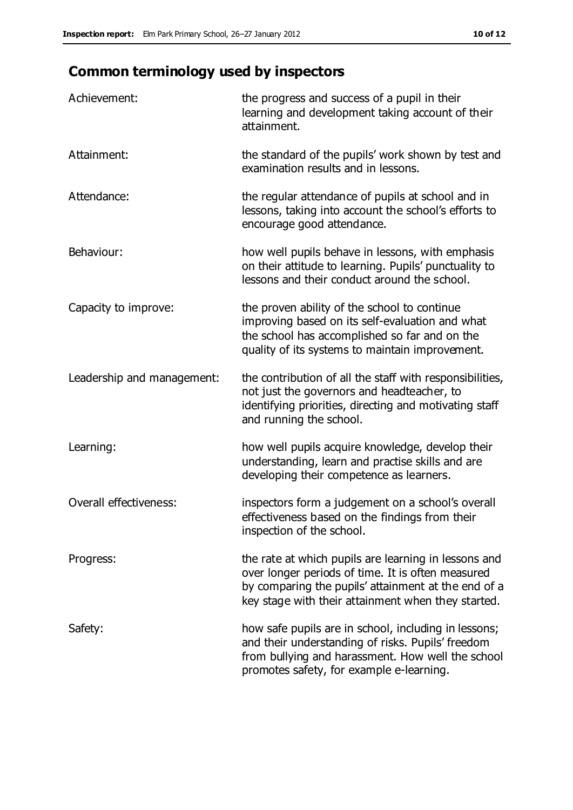## **Common terminology used by inspectors**

| Achievement:                  | the progress and success of a pupil in their<br>learning and development taking account of their<br>attainment.                                                                                                        |
|-------------------------------|------------------------------------------------------------------------------------------------------------------------------------------------------------------------------------------------------------------------|
| Attainment:                   | the standard of the pupils' work shown by test and<br>examination results and in lessons.                                                                                                                              |
| Attendance:                   | the regular attendance of pupils at school and in<br>lessons, taking into account the school's efforts to<br>encourage good attendance.                                                                                |
| Behaviour:                    | how well pupils behave in lessons, with emphasis<br>on their attitude to learning. Pupils' punctuality to<br>lessons and their conduct around the school.                                                              |
| Capacity to improve:          | the proven ability of the school to continue<br>improving based on its self-evaluation and what<br>the school has accomplished so far and on the<br>quality of its systems to maintain improvement.                    |
| Leadership and management:    | the contribution of all the staff with responsibilities,<br>not just the governors and headteacher, to<br>identifying priorities, directing and motivating staff<br>and running the school.                            |
| Learning:                     | how well pupils acquire knowledge, develop their<br>understanding, learn and practise skills and are<br>developing their competence as learners.                                                                       |
| <b>Overall effectiveness:</b> | inspectors form a judgement on a school's overall<br>effectiveness based on the findings from their<br>inspection of the school.                                                                                       |
| Progress:                     | the rate at which pupils are learning in lessons and<br>over longer periods of time. It is often measured<br>by comparing the pupils' attainment at the end of a<br>key stage with their attainment when they started. |
| Safety:                       | how safe pupils are in school, including in lessons;<br>and their understanding of risks. Pupils' freedom<br>from bullying and harassment. How well the school<br>promotes safety, for example e-learning.             |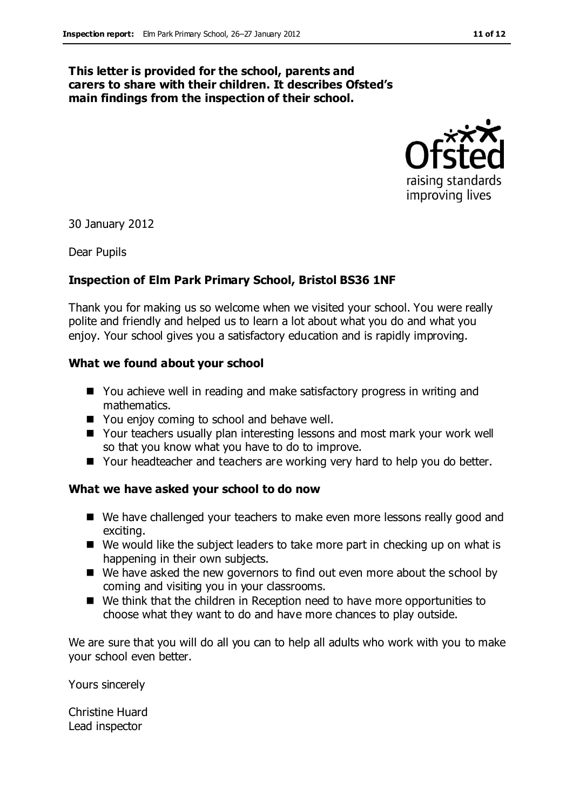#### **This letter is provided for the school, parents and carers to share with their children. It describes Ofsted's main findings from the inspection of their school.**



30 January 2012

Dear Pupils

#### **Inspection of Elm Park Primary School, Bristol BS36 1NF**

Thank you for making us so welcome when we visited your school. You were really polite and friendly and helped us to learn a lot about what you do and what you enjoy. Your school gives you a satisfactory education and is rapidly improving.

#### **What we found about your school**

- You achieve well in reading and make satisfactory progress in writing and mathematics.
- You enjoy coming to school and behave well.
- Your teachers usually plan interesting lessons and most mark your work well so that you know what you have to do to improve.
- Your headteacher and teachers are working very hard to help you do better.

#### **What we have asked your school to do now**

- We have challenged your teachers to make even more lessons really good and exciting.
- We would like the subject leaders to take more part in checking up on what is happening in their own subjects.
- We have asked the new governors to find out even more about the school by coming and visiting you in your classrooms.
- We think that the children in Reception need to have more opportunities to choose what they want to do and have more chances to play outside.

We are sure that you will do all you can to help all adults who work with you to make your school even better.

Yours sincerely

Christine Huard Lead inspector